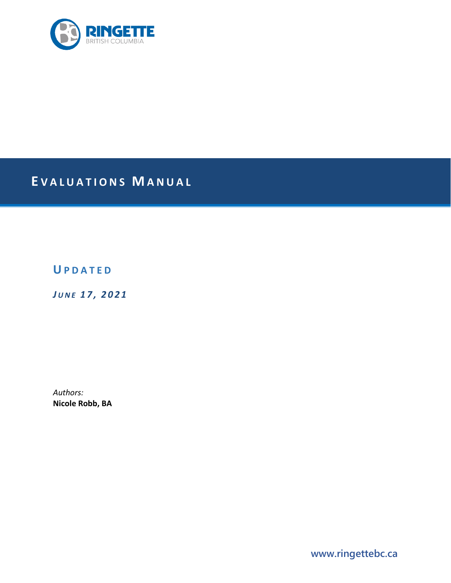

# **E VALUATIONS M ANUAL**

# **U PDATED**

*J UNE 1 7 , 2021*

*Authors:* **Nicole Robb, BA**

**www.ringettebc.ca**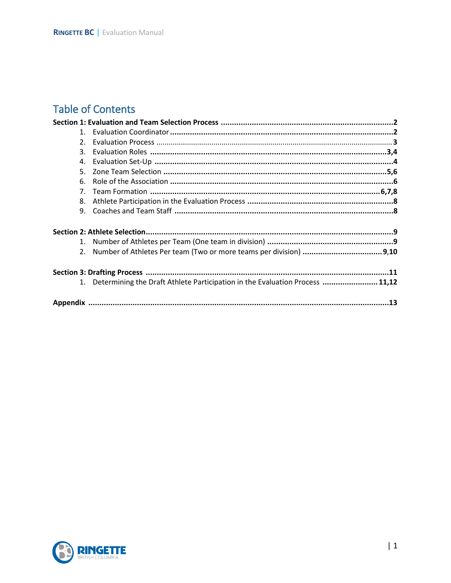# **Table of Contents**

| 2.             |                                                                                 |  |
|----------------|---------------------------------------------------------------------------------|--|
| 3.             |                                                                                 |  |
| 4.             |                                                                                 |  |
| 5.             |                                                                                 |  |
| 6.             |                                                                                 |  |
| 7 <sup>1</sup> |                                                                                 |  |
| 8.             |                                                                                 |  |
| 9.             |                                                                                 |  |
|                |                                                                                 |  |
| 1.             |                                                                                 |  |
| 2.             |                                                                                 |  |
|                |                                                                                 |  |
|                | 1. Determining the Draft Athlete Participation in the Evaluation Process  11,12 |  |
|                |                                                                                 |  |

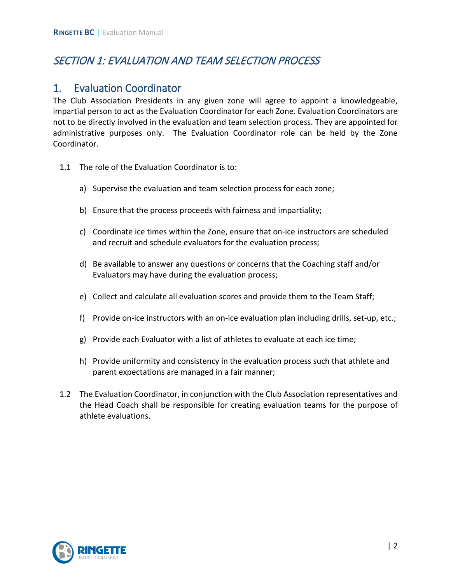# SECTION 1: EVALUATION AND TEAM SELECTION PROCESS

### 1. Evaluation Coordinator

The Club Association Presidents in any given zone will agree to appoint a knowledgeable, impartial person to act as the Evaluation Coordinator for each Zone. Evaluation Coordinators are not to be directly involved in the evaluation and team selection process. They are appointed for administrative purposes only. The Evaluation Coordinator role can be held by the Zone Coordinator.

- 1.1 The role of the Evaluation Coordinator is to:
	- a) Supervise the evaluation and team selection process for each zone;
	- b) Ensure that the process proceeds with fairness and impartiality;
	- c) Coordinate ice times within the Zone, ensure that on-ice instructors are scheduled and recruit and schedule evaluators for the evaluation process;
	- d) Be available to answer any questions or concerns that the Coaching staff and/or Evaluators may have during the evaluation process;
	- e) Collect and calculate all evaluation scores and provide them to the Team Staff;
	- f) Provide on-ice instructors with an on-ice evaluation plan including drills, set-up, etc.;
	- g) Provide each Evaluator with a list of athletes to evaluate at each ice time;
	- h) Provide uniformity and consistency in the evaluation process such that athlete and parent expectations are managed in a fair manner;
- 1.2 The Evaluation Coordinator, in conjunction with the Club Association representatives and the Head Coach shall be responsible for creating evaluation teams for the purpose of athlete evaluations.

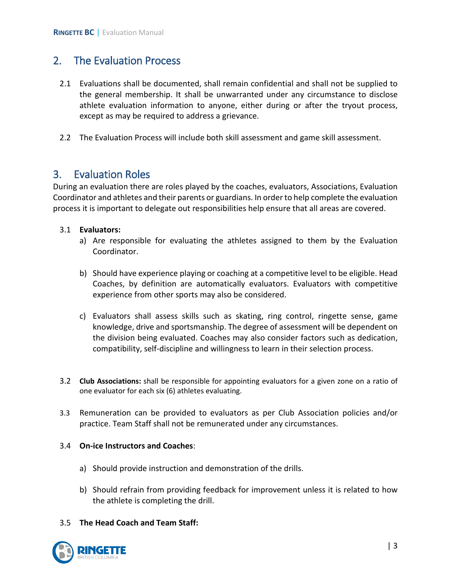## 2. The Evaluation Process

- 2.1 Evaluations shall be documented, shall remain confidential and shall not be supplied to the general membership. It shall be unwarranted under any circumstance to disclose athlete evaluation information to anyone, either during or after the tryout process, except as may be required to address a grievance.
- 2.2 The Evaluation Process will include both skill assessment and game skill assessment.

### 3. Evaluation Roles

During an evaluation there are roles played by the coaches, evaluators, Associations, Evaluation Coordinator and athletes and their parents or guardians. In order to help complete the evaluation process it is important to delegate out responsibilities help ensure that all areas are covered.

#### 3.1 **Evaluators:**

- a) Are responsible for evaluating the athletes assigned to them by the Evaluation Coordinator.
- b) Should have experience playing or coaching at a competitive level to be eligible. Head Coaches, by definition are automatically evaluators. Evaluators with competitive experience from other sports may also be considered.
- c) Evaluators shall assess skills such as skating, ring control, ringette sense, game knowledge, drive and sportsmanship. The degree of assessment will be dependent on the division being evaluated. Coaches may also consider factors such as dedication, compatibility, self-discipline and willingness to learn in their selection process.
- 3.2 **Club Associations:** shall be responsible for appointing evaluators for a given zone on a ratio of one evaluator for each six (6) athletes evaluating.
- 3.3 Remuneration can be provided to evaluators as per Club Association policies and/or practice. Team Staff shall not be remunerated under any circumstances.

#### 3.4 **On-ice Instructors and Coaches**:

- a) Should provide instruction and demonstration of the drills.
- b) Should refrain from providing feedback for improvement unless it is related to how the athlete is completing the drill.

#### 3.5 **The Head Coach and Team Staff:**

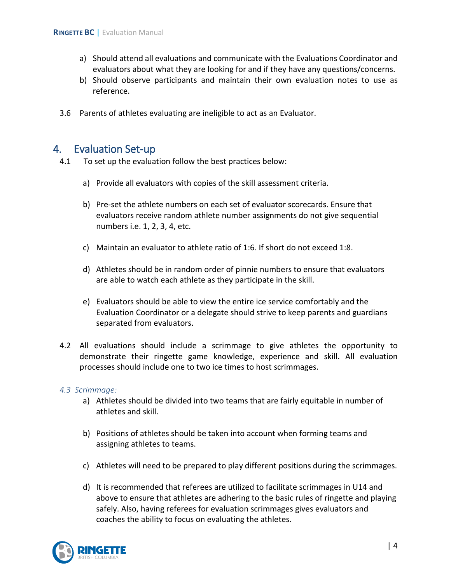- a) Should attend all evaluations and communicate with the Evaluations Coordinator and evaluators about what they are looking for and if they have any questions/concerns.
- b) Should observe participants and maintain their own evaluation notes to use as reference.
- 3.6 Parents of athletes evaluating are ineligible to act as an Evaluator.

### 4. Evaluation Set-up

- 4.1 To set up the evaluation follow the best practices below:
	- a) Provide all evaluators with copies of the skill assessment criteria.
	- b) Pre-set the athlete numbers on each set of evaluator scorecards. Ensure that evaluators receive random athlete number assignments do not give sequential numbers i.e. 1, 2, 3, 4, etc.
	- c) Maintain an evaluator to athlete ratio of 1:6. If short do not exceed 1:8.
	- d) Athletes should be in random order of pinnie numbers to ensure that evaluators are able to watch each athlete as they participate in the skill.
	- e) Evaluators should be able to view the entire ice service comfortably and the Evaluation Coordinator or a delegate should strive to keep parents and guardians separated from evaluators.
- 4.2 All evaluations should include a scrimmage to give athletes the opportunity to demonstrate their ringette game knowledge, experience and skill. All evaluation processes should include one to two ice times to host scrimmages.

#### *4.3 Scrimmage:*

- a) Athletes should be divided into two teams that are fairly equitable in number of athletes and skill.
- b) Positions of athletes should be taken into account when forming teams and assigning athletes to teams.
- c) Athletes will need to be prepared to play different positions during the scrimmages.
- d) It is recommended that referees are utilized to facilitate scrimmages in U14 and above to ensure that athletes are adhering to the basic rules of ringette and playing safely. Also, having referees for evaluation scrimmages gives evaluators and coaches the ability to focus on evaluating the athletes.

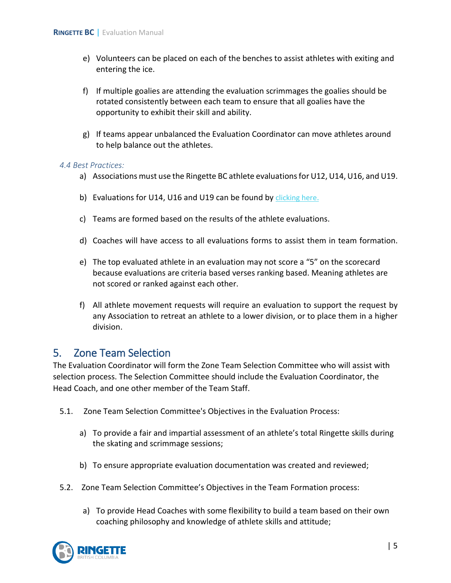- e) Volunteers can be placed on each of the benches to assist athletes with exiting and entering the ice.
- f) If multiple goalies are attending the evaluation scrimmages the goalies should be rotated consistently between each team to ensure that all goalies have the opportunity to exhibit their skill and ability.
- g) If teams appear unbalanced the Evaluation Coordinator can move athletes around to help balance out the athletes.

#### *4.4 Best Practices:*

- a) Associations must use the Ringette BC athlete evaluations for U12, U14, U16, and U19.
- b) Evaluations for U14, U16 and U19 can be found by clicking here.
- c) Teams are formed based on the results of the athlete evaluations.
- d) Coaches will have access to all evaluations forms to assist them in team formation.
- e) The top evaluated athlete in an evaluation may not score a "5" on the scorecard because evaluations are criteria based verses ranking based. Meaning athletes are not scored or ranked against each other.
- f) All athlete movement requests will require an evaluation to support the request by any Association to retreat an athlete to a lower division, or to place them in a higher division.

#### 5. Zone Team Selection

The Evaluation Coordinator will form the Zone Team Selection Committee who will assist with selection process. The Selection Committee should include the Evaluation Coordinator, the Head Coach, and one other member of the Team Staff.

- 5.1. Zone Team Selection Committee's Objectives in the Evaluation Process:
	- a) To provide a fair and impartial assessment of an athlete's total Ringette skills during the skating and scrimmage sessions;
	- b) To ensure appropriate evaluation documentation was created and reviewed;
- 5.2. Zone Team Selection Committee's Objectives in the Team Formation process:
	- a) To provide Head Coaches with some flexibility to build a team based on their own coaching philosophy and knowledge of athlete skills and attitude;

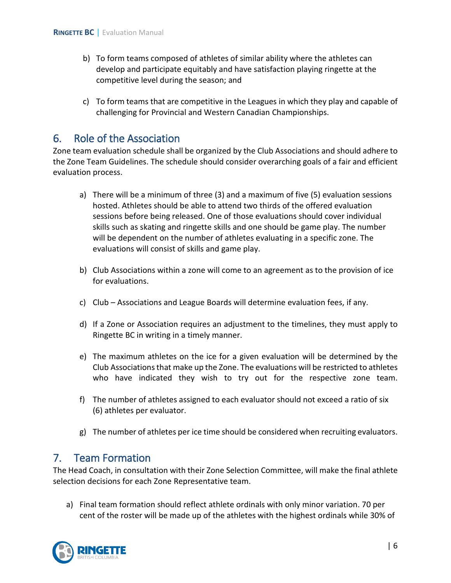- b) To form teams composed of athletes of similar ability where the athletes can develop and participate equitably and have satisfaction playing ringette at the competitive level during the season; and
- c) To form teams that are competitive in the Leagues in which they play and capable of challenging for Provincial and Western Canadian Championships.

## 6. Role of the Association

Zone team evaluation schedule shall be organized by the Club Associations and should adhere to the Zone Team Guidelines. The schedule should consider overarching goals of a fair and efficient evaluation process.

- a) There will be a minimum of three (3) and a maximum of five (5) evaluation sessions hosted. Athletes should be able to attend two thirds of the offered evaluation sessions before being released. One of those evaluations should cover individual skills such as skating and ringette skills and one should be game play. The number will be dependent on the number of athletes evaluating in a specific zone. The evaluations will consist of skills and game play.
- b) Club Associations within a zone will come to an agreement as to the provision of ice for evaluations.
- c) Club Associations and League Boards will determine evaluation fees, if any.
- d) If a Zone or Association requires an adjustment to the timelines, they must apply to Ringette BC in writing in a timely manner.
- e) The maximum athletes on the ice for a given evaluation will be determined by the Club Associations that make up the Zone. The evaluations will be restricted to athletes who have indicated they wish to try out for the respective zone team.
- f) The number of athletes assigned to each evaluator should not exceed a ratio of six (6) athletes per evaluator.
- g) The number of athletes per ice time should be considered when recruiting evaluators.

#### 7. Team Formation

The Head Coach, in consultation with their Zone Selection Committee, will make the final athlete selection decisions for each Zone Representative team.

a) Final team formation should reflect athlete ordinals with only minor variation. 70 per cent of the roster will be made up of the athletes with the highest ordinals while 30% of

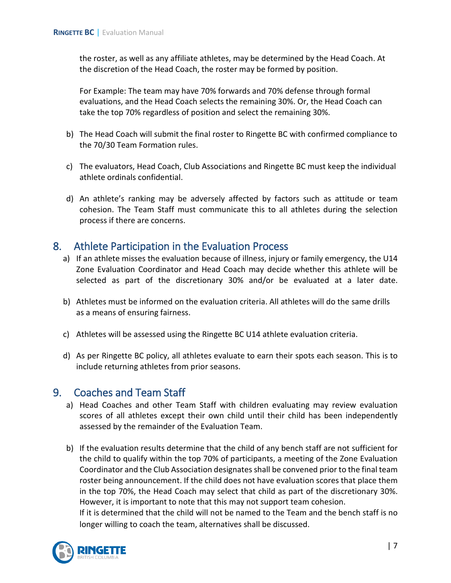the roster, as well as any affiliate athletes, may be determined by the Head Coach. At the discretion of the Head Coach, the roster may be formed by position.

For Example: The team may have 70% forwards and 70% defense through formal evaluations, and the Head Coach selects the remaining 30%. Or, the Head Coach can take the top 70% regardless of position and select the remaining 30%.

- b) The Head Coach will submit the final roster to Ringette BC with confirmed compliance to the 70/30 Team Formation rules.
- c) The evaluators, Head Coach, Club Associations and Ringette BC must keep the individual athlete ordinals confidential.
- d) An athlete's ranking may be adversely affected by factors such as attitude or team cohesion. The Team Staff must communicate this to all athletes during the selection process if there are concerns.

### 8. Athlete Participation in the Evaluation Process

- a) If an athlete misses the evaluation because of illness, injury or family emergency, the U14 Zone Evaluation Coordinator and Head Coach may decide whether this athlete will be selected as part of the discretionary 30% and/or be evaluated at a later date.
- b) Athletes must be informed on the evaluation criteria. All athletes will do the same drills as a means of ensuring fairness.
- c) Athletes will be assessed using the Ringette BC U14 athlete evaluation criteria.
- d) As per Ringette BC policy, all athletes evaluate to earn their spots each season. This is to include returning athletes from prior seasons.

### 9. Coaches and Team Staff

- a) Head Coaches and other Team Staff with children evaluating may review evaluation scores of all athletes except their own child until their child has been independently assessed by the remainder of the Evaluation Team.
- b) If the evaluation results determine that the child of any bench staff are not sufficient for the child to qualify within the top 70% of participants, a meeting of the Zone Evaluation Coordinator and the Club Association designates shall be convened prior to the final team roster being announcement. If the child does not have evaluation scores that place them in the top 70%, the Head Coach may select that child as part of the discretionary 30%. However, it is important to note that this may not support team cohesion. If it is determined that the child will not be named to the Team and the bench staff is no

longer willing to coach the team, alternatives shall be discussed.

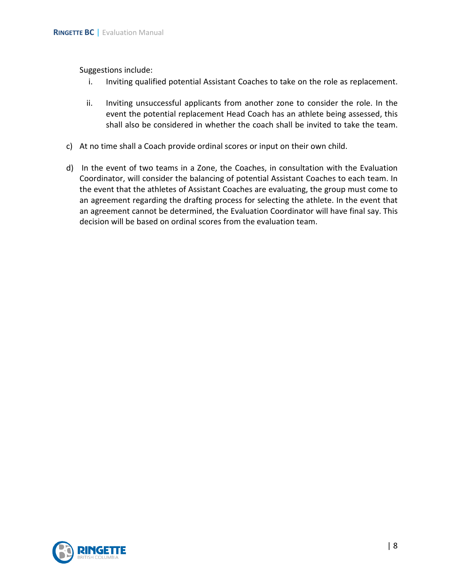Suggestions include:

- i. Inviting qualified potential Assistant Coaches to take on the role as replacement.
- ii. Inviting unsuccessful applicants from another zone to consider the role. In the event the potential replacement Head Coach has an athlete being assessed, this shall also be considered in whether the coach shall be invited to take the team.
- c) At no time shall a Coach provide ordinal scores or input on their own child.
- d) In the event of two teams in a Zone, the Coaches, in consultation with the Evaluation Coordinator, will consider the balancing of potential Assistant Coaches to each team. In the event that the athletes of Assistant Coaches are evaluating, the group must come to an agreement regarding the drafting process for selecting the athlete. In the event that an agreement cannot be determined, the Evaluation Coordinator will have final say. This decision will be based on ordinal scores from the evaluation team.

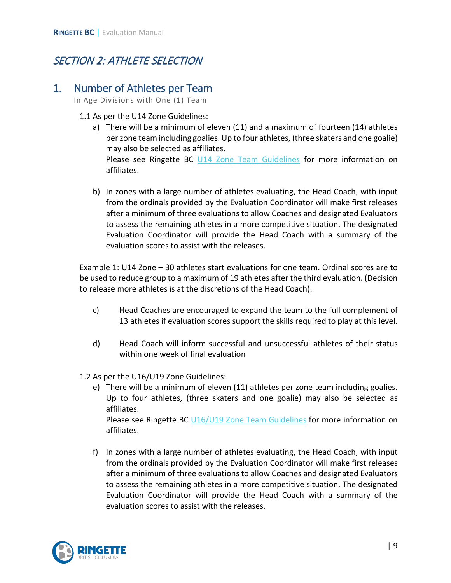# SECTION 2: ATHLETE SELECTION

### 1. Number of Athletes per Team

In Age Divisions with One (1) Team

#### 1.1 As per the U14 Zone Guidelines:

- a) There will be a minimum of eleven (11) and a maximum of fourteen (14) athletes per zone team including goalies. Up to four athletes, (three skaters and one goalie) may also be selected as affiliates. Please see Ringette BC U14 Zone [Team Guidelines](https://www.ringettebc.ca/5-u14-zone-division-guidelines/) for more information on affiliates.
- b) In zones with a large number of athletes evaluating, the Head Coach, with input from the ordinals provided by the Evaluation Coordinator will make first releases after a minimum of three evaluations to allow Coaches and designated Evaluators to assess the remaining athletes in a more competitive situation. The designated Evaluation Coordinator will provide the Head Coach with a summary of the evaluation scores to assist with the releases.

Example 1: U14 Zone – 30 athletes start evaluations for one team. Ordinal scores are to be used to reduce group to a maximum of 19 athletes after the third evaluation. (Decision to release more athletes is at the discretions of the Head Coach).

- c) Head Coaches are encouraged to expand the team to the full complement of 13 athletes if evaluation scores support the skills required to play at this level.
- d) Head Coach will inform successful and unsuccessful athletes of their status within one week of final evaluation
- 1.2 As per the U16/U19 Zone Guidelines:
	- e) There will be a minimum of eleven (11) athletes per zone team including goalies. Up to four athletes, (three skaters and one goalie) may also be selected as affiliates. Please see Ringette BC [U16/U19 Zone Team Guidelines](https://www.ringettebc.ca/wp-content/uploads/2020/04/Ringette-BC-U16-U19-Zone-Division-Guidelines-v.-6-Dec-20-2019.pdf) for more information on affiliates.
	- f) In zones with a large number of athletes evaluating, the Head Coach, with input from the ordinals provided by the Evaluation Coordinator will make first releases after a minimum of three evaluations to allow Coaches and designated Evaluators to assess the remaining athletes in a more competitive situation. The designated Evaluation Coordinator will provide the Head Coach with a summary of the evaluation scores to assist with the releases.

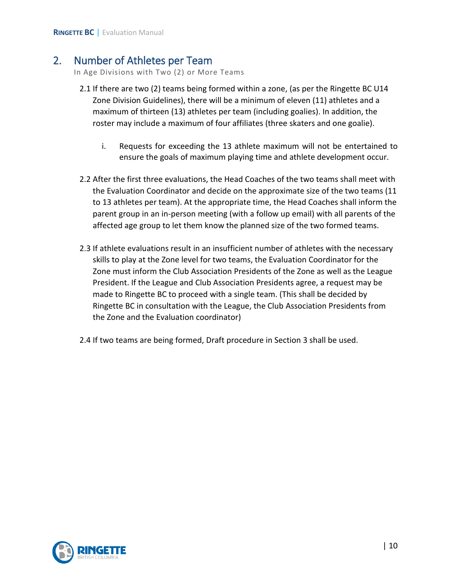### 2. Number of Athletes per Team

In Age Divisions with Two (2) or More Teams

- 2.1 If there are two (2) teams being formed within a zone, (as per the Ringette BC U14 Zone Division Guidelines), there will be a minimum of eleven (11) athletes and a maximum of thirteen (13) athletes per team (including goalies). In addition, the roster may include a maximum of four affiliates (three skaters and one goalie).
	- i. Requests for exceeding the 13 athlete maximum will not be entertained to ensure the goals of maximum playing time and athlete development occur.
- 2.2 After the first three evaluations, the Head Coaches of the two teams shall meet with the Evaluation Coordinator and decide on the approximate size of the two teams (11 to 13 athletes per team). At the appropriate time, the Head Coaches shall inform the parent group in an in-person meeting (with a follow up email) with all parents of the affected age group to let them know the planned size of the two formed teams.
- 2.3 If athlete evaluations result in an insufficient number of athletes with the necessary skills to play at the Zone level for two teams, the Evaluation Coordinator for the Zone must inform the Club Association Presidents of the Zone as well as the League President. If the League and Club Association Presidents agree, a request may be made to Ringette BC to proceed with a single team. (This shall be decided by Ringette BC in consultation with the League, the Club Association Presidents from the Zone and the Evaluation coordinator)
- 2.4 If two teams are being formed, Draft procedure in Section 3 shall be used.

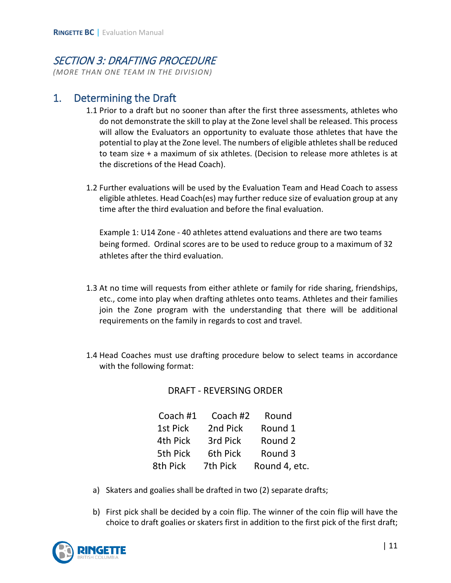# SECTION 3: DRAFTING PROCEDURE

*(MORE THAN ONE TEAM IN THE DIVISION)* 

## 1. Determining the Draft

- 1.1 Prior to a draft but no sooner than after the first three assessments, athletes who do not demonstrate the skill to play at the Zone level shall be released. This process will allow the Evaluators an opportunity to evaluate those athletes that have the potential to play at the Zone level. The numbers of eligible athletes shall be reduced to team size + a maximum of six athletes. (Decision to release more athletes is at the discretions of the Head Coach).
- 1.2 Further evaluations will be used by the Evaluation Team and Head Coach to assess eligible athletes. Head Coach(es) may further reduce size of evaluation group at any time after the third evaluation and before the final evaluation.

Example 1: U14 Zone - 40 athletes attend evaluations and there are two teams being formed. Ordinal scores are to be used to reduce group to a maximum of 32 athletes after the third evaluation.

- 1.3 At no time will requests from either athlete or family for ride sharing, friendships, etc., come into play when drafting athletes onto teams. Athletes and their families join the Zone program with the understanding that there will be additional requirements on the family in regards to cost and travel.
- 1.4 Head Coaches must use drafting procedure below to select teams in accordance with the following format:

DRAFT - REVERSING ORDER

| Coach #1 | Coach #2 | Round         |
|----------|----------|---------------|
| 1st Pick | 2nd Pick | Round 1       |
| 4th Pick | 3rd Pick | Round 2       |
| 5th Pick | 6th Pick | Round 3       |
| 8th Pick | 7th Pick | Round 4, etc. |

- a) Skaters and goalies shall be drafted in two (2) separate drafts;
- b) First pick shall be decided by a coin flip. The winner of the coin flip will have the choice to draft goalies or skaters first in addition to the first pick of the first draft;

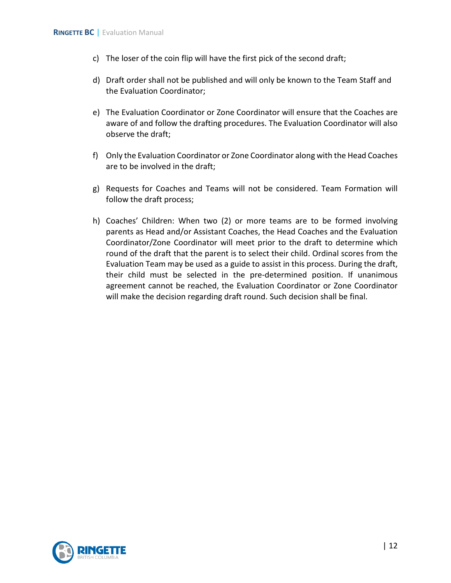- c) The loser of the coin flip will have the first pick of the second draft;
- d) Draft order shall not be published and will only be known to the Team Staff and the Evaluation Coordinator;
- e) The Evaluation Coordinator or Zone Coordinator will ensure that the Coaches are aware of and follow the drafting procedures. The Evaluation Coordinator will also observe the draft;
- f) Only the Evaluation Coordinator or Zone Coordinator along with the Head Coaches are to be involved in the draft;
- g) Requests for Coaches and Teams will not be considered. Team Formation will follow the draft process;
- h) Coaches' Children: When two (2) or more teams are to be formed involving parents as Head and/or Assistant Coaches, the Head Coaches and the Evaluation Coordinator/Zone Coordinator will meet prior to the draft to determine which round of the draft that the parent is to select their child. Ordinal scores from the Evaluation Team may be used as a guide to assist in this process. During the draft, their child must be selected in the pre-determined position. If unanimous agreement cannot be reached, the Evaluation Coordinator or Zone Coordinator will make the decision regarding draft round. Such decision shall be final.